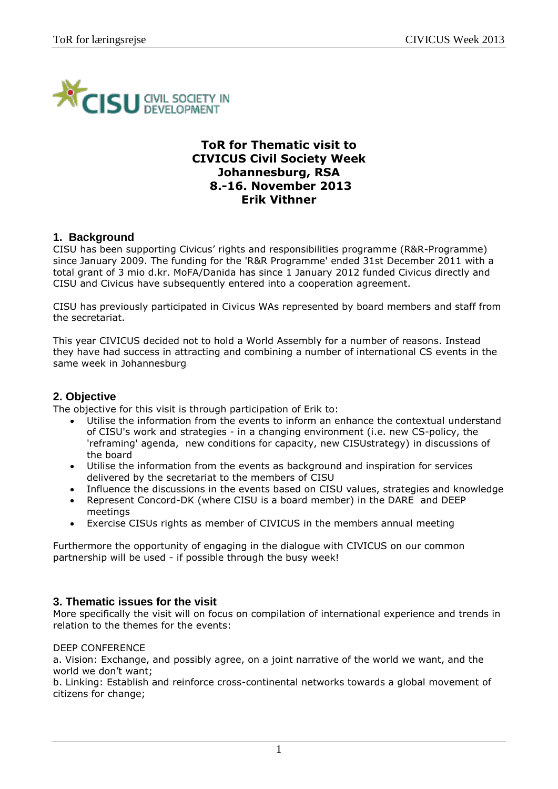

# **ToR for Thematic visit to CIVICUS Civil Society Week Johannesburg, RSA 8.-16. November 2013 Erik Vithner**

# **1. Background**

CISU has been supporting Civicus' rights and responsibilities programme (R&R-Programme) since January 2009. The funding for the 'R&R Programme' ended 31st December 2011 with a total grant of 3 mio d.kr. MoFA/Danida has since 1 January 2012 funded Civicus directly and CISU and Civicus have subsequently entered into a cooperation agreement.

CISU has previously participated in Civicus WAs represented by board members and staff from the secretariat.

This year CIVICUS decided not to hold a World Assembly for a number of reasons. Instead they have had success in attracting and combining a number of international CS events in the same week in Johannesburg

# **2. Objective**

The objective for this visit is through participation of Erik to:

- Utilise the information from the events to inform an enhance the contextual understand of CISU's work and strategies - in a changing environment (i.e. new CS-policy, the 'reframing' agenda, new conditions for capacity, new CISUstrategy) in discussions of the board
- Utilise the information from the events as background and inspiration for services delivered by the secretariat to the members of CISU
- Influence the discussions in the events based on CISU values, strategies and knowledge
- Represent Concord-DK (where CISU is a board member) in the DARE and DEEP meetings
- Exercise CISUs rights as member of CIVICUS in the members annual meeting

Furthermore the opportunity of engaging in the dialogue with CIVICUS on our common partnership will be used - if possible through the busy week!

# **3. Thematic issues for the visit**

More specifically the visit will on focus on compilation of international experience and trends in relation to the themes for the events:

#### DEEP CONFERENCE

a. Vision: Exchange, and possibly agree, on a joint narrative of the world we want, and the world we don't want;

b. Linking: Establish and reinforce cross-continental networks towards a global movement of citizens for change;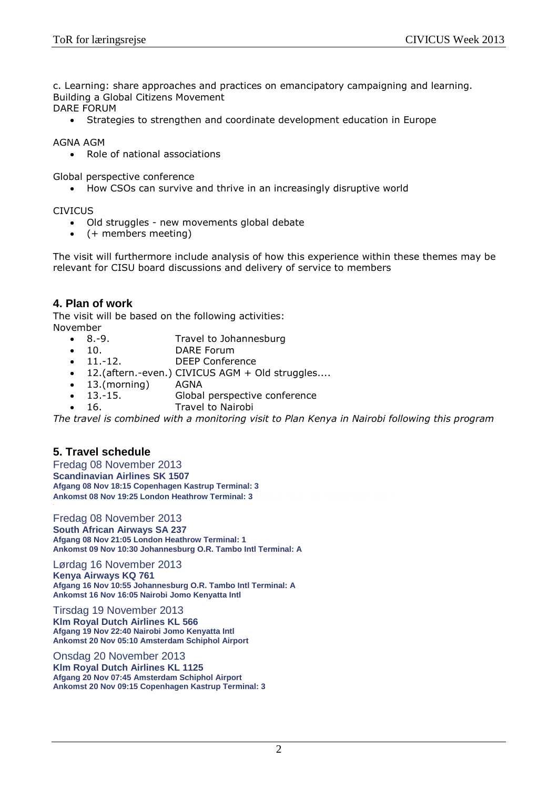c. Learning: share approaches and practices on emancipatory campaigning and learning. Building a Global Citizens Movement

DARE FORUM

Strategies to strengthen and coordinate development education in Europe

AGNA AGM

• Role of national associations

Global perspective conference

• How CSOs can survive and thrive in an increasingly disruptive world

CIVICUS

- Old struggles new movements global debate
- $\bullet$  (+ members meeting)

The visit will furthermore include analysis of how this experience within these themes may be relevant for CISU board discussions and delivery of service to members

### **4. Plan of work**

The visit will be based on the following activities: November

- 8.-9. Travel to Johannesburg
- 10. DARE Forum
- 11.-12. DEEP Conference
- 12.(aftern.-even.) CIVICUS AGM + Old struggles....
- 13.(morning) AGNA
- 13.-15. Global perspective conference
- 16. Travel to Nairobi

*The travel is combined with a monitoring visit to Plan Kenya in Nairobi following this program*

# **5. Travel schedule**

Fredag 08 November 2013 **Scandinavian Airlines SK 1507 Afgang 08 Nov 18:15 Copenhagen Kastrup Terminal: 3 Ankomst 08 Nov 19:25 London Heathrow Terminal: 3** 

Fredag 08 November 2013 **South African Airways SA 237 Afgang 08 Nov 21:05 London Heathrow Terminal: 1 Ankomst 09 Nov 10:30 Johannesburg O.R. Tambo Intl Terminal: A**

Lørdag 16 November 2013 **Kenya Airways KQ 761 Afgang 16 Nov 10:55 Johannesburg O.R. Tambo Intl Terminal: A Ankomst 16 Nov 16:05 Nairobi Jomo Kenyatta Intl**

Tirsdag 19 November 2013 **Klm Royal Dutch Airlines KL 566 Afgang 19 Nov 22:40 Nairobi Jomo Kenyatta Intl Ankomst 20 Nov 05:10 Amsterdam Schiphol Airport**

Onsdag 20 November 2013

**Klm Royal Dutch Airlines KL 1125 Afgang 20 Nov 07:45 Amsterdam Schiphol Airport Ankomst 20 Nov 09:15 Copenhagen Kastrup Terminal: 3**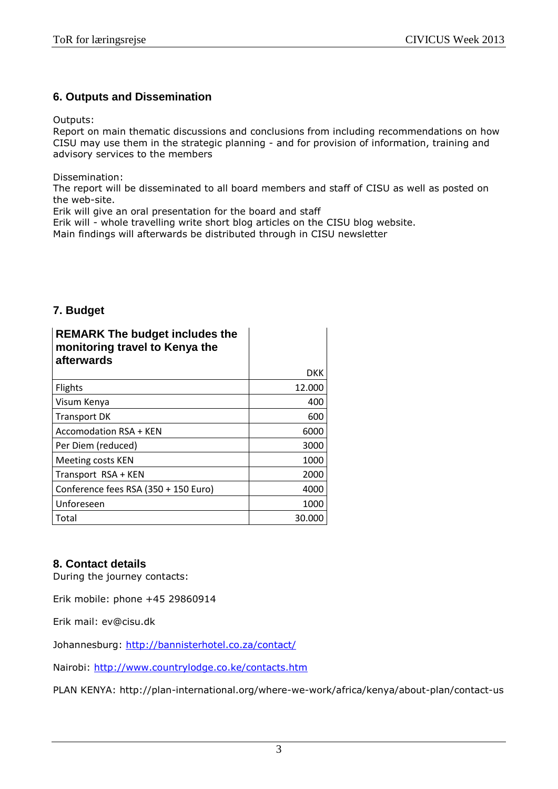# **6. Outputs and Dissemination**

Outputs:

Report on main thematic discussions and conclusions from including recommendations on how CISU may use them in the strategic planning - and for provision of information, training and advisory services to the members

Dissemination:

The report will be disseminated to all board members and staff of CISU as well as posted on the web-site.

Erik will give an oral presentation for the board and staff

Erik will - whole travelling write short blog articles on the CISU blog website.

Main findings will afterwards be distributed through in CISU newsletter

# **7. Budget**

| <b>REMARK The budget includes the</b><br>monitoring travel to Kenya the<br>afterwards |        |
|---------------------------------------------------------------------------------------|--------|
|                                                                                       | DKK    |
| <b>Flights</b>                                                                        | 12.000 |
| Visum Kenya                                                                           | 400    |
| <b>Transport DK</b>                                                                   | 600    |
| <b>Accomodation RSA + KEN</b>                                                         | 6000   |
| Per Diem (reduced)                                                                    | 3000   |
| Meeting costs KEN                                                                     | 1000   |
| Transport RSA + KEN                                                                   | 2000   |
| Conference fees RSA (350 + 150 Euro)                                                  | 4000   |
| Unforeseen                                                                            | 1000   |
| Total                                                                                 | 30.000 |

# **8. Contact details**

During the journey contacts:

Erik mobile: phone +45 29860914

Erik mail: ev@cisu.dk

Johannesburg:<http://bannisterhotel.co.za/contact/>

Nairobi:<http://www.countrylodge.co.ke/contacts.htm>

PLAN KENYA: http://plan-international.org/where-we-work/africa/kenya/about-plan/contact-us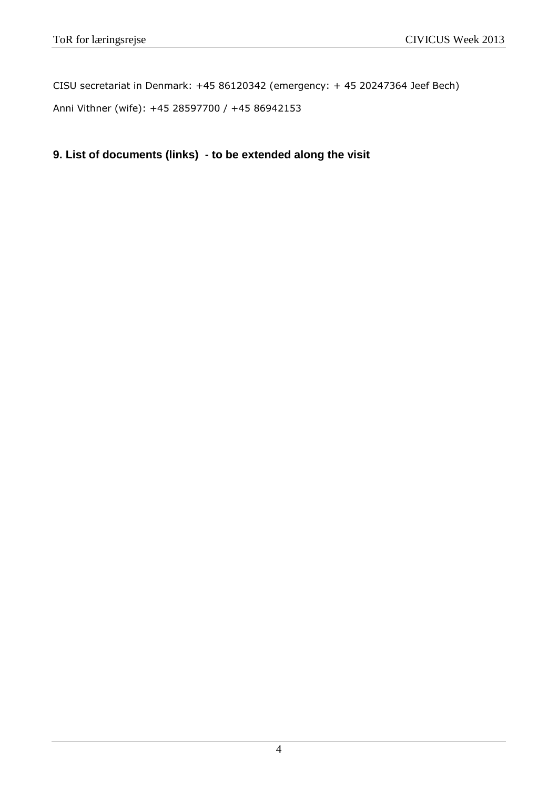CISU secretariat in Denmark: +45 86120342 (emergency: + 45 20247364 Jeef Bech) Anni Vithner (wife): +45 28597700 / +45 86942153

**9. List of documents (links) - to be extended along the visit**